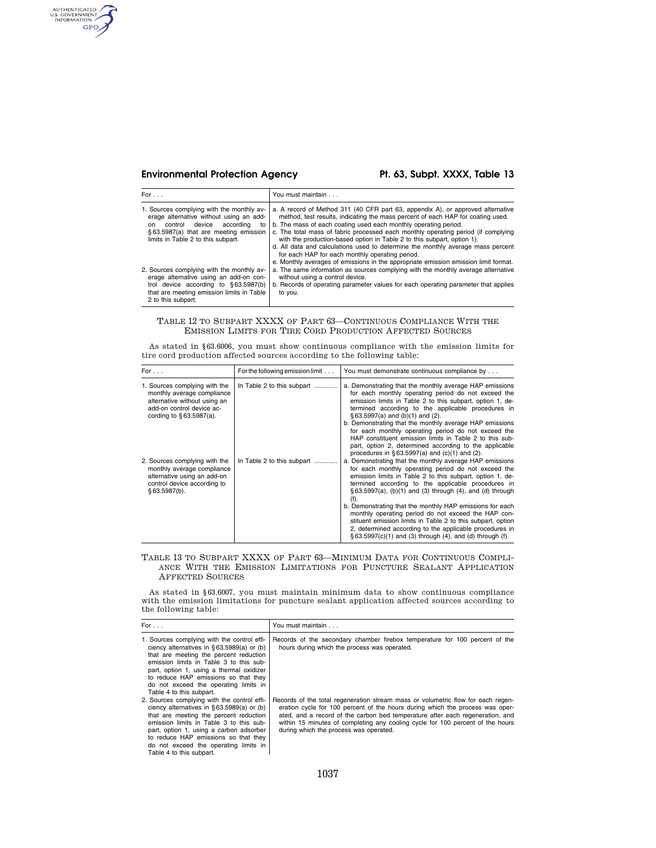## Environmental Protection Agency Pt. 63, Subpt. XXXX, Table 13

AUTHENTICATED GPO

| For $\ldots$                                                                                                                                                                                                | You must maintain                                                                                                                                                                                                                                                                                                                                                                                                                                                                                                                                                                                                                  |
|-------------------------------------------------------------------------------------------------------------------------------------------------------------------------------------------------------------|------------------------------------------------------------------------------------------------------------------------------------------------------------------------------------------------------------------------------------------------------------------------------------------------------------------------------------------------------------------------------------------------------------------------------------------------------------------------------------------------------------------------------------------------------------------------------------------------------------------------------------|
| 1. Sources complying with the monthly av-<br>erage alternative without using an add-<br>control device according<br>to<br>on<br>§63.5987(a) that are meeting emission<br>limits in Table 2 to this subpart. | a. A record of Method 311 (40 CFR part 63, appendix A), or approved alternative<br>method, test results, indicating the mass percent of each HAP for coating used.<br>b. The mass of each coating used each monthly operating period.<br>c. The total mass of fabric processed each monthly operating period (if complying<br>with the production-based option in Table 2 to this subpart, option 1).<br>d. All data and calculations used to determine the monthly average mass percent<br>for each HAP for each monthly operating period.<br>e. Monthly averages of emissions in the appropriate emission emission limit format. |
| 2. Sources complying with the monthly av-<br>erage alternative using an add-on con-<br>trol device according to $§ 63.5987(b)$<br>that are meeting emission limits in Table<br>2 to this subpart.           | a. The same information as sources complying with the monthly average alternative<br>without using a control device.<br>b. Records of operating parameter values for each operating parameter that applies<br>to you.                                                                                                                                                                                                                                                                                                                                                                                                              |

### TABLE 12 TO SUBPART XXXX OF PART 63—CONTINUOUS COMPLIANCE WITH THE EMISSION LIMITS FOR TIRE CORD PRODUCTION AFFECTED SOURCES

As stated in §63.6006, you must show continuous compliance with the emission limits for tire cord production affected sources according to the following table:

| For $\ldots$                                                                                                                                            | For the following emission limit | You must demonstrate continuous compliance by                                                                                                                                                                                                                                                                                                                                                                                                                                                                                                                                                                            |
|---------------------------------------------------------------------------------------------------------------------------------------------------------|----------------------------------|--------------------------------------------------------------------------------------------------------------------------------------------------------------------------------------------------------------------------------------------------------------------------------------------------------------------------------------------------------------------------------------------------------------------------------------------------------------------------------------------------------------------------------------------------------------------------------------------------------------------------|
| 1. Sources complying with the<br>monthly average compliance<br>alternative without using an<br>add-on control device ac-<br>cording to $§ 63.5987(a)$ . | In Table 2 to this subpart       | a. Demonstrating that the monthly average HAP emissions<br>for each monthly operating period do not exceed the<br>emission limits in Table 2 to this subpart, option 1, de-<br>termined according to the applicable procedures in<br>§ 63.5997(a) and (b)(1) and (2).<br>b. Demonstrating that the monthly average HAP emissions<br>for each monthly operating period do not exceed the<br>HAP constituent emission limits in Table 2 to this sub-<br>part, option 2, determined according to the applicable<br>procedures in $§63.5997(a)$ and $(c)(1)$ and $(2)$ .                                                     |
| 2. Sources complying with the<br>monthly average compliance<br>alternative using an add-on<br>control device according to<br>§63.5987(b).               | In Table 2 to this subpart       | a. Demonstrating that the monthly average HAP emissions<br>for each monthly operating period do not exceed the<br>emission limits in Table 2 to this subpart, option 1, de-<br>termined according to the applicable procedures in<br>$§ 63.5997(a)$ , (b)(1) and (3) through (4), and (d) through<br>$(f)$ .<br>b. Demonstrating that the monthly HAP emissions for each<br>monthly operating period do not exceed the HAP con-<br>stituent emission limits in Table 2 to this subpart, option<br>2, determined according to the applicable procedures in<br>$§ 63.5997(c)(1)$ and (3) through (4), and (d) through (f). |

### TABLE 13 TO SUBPART XXXX OF PART 63—MINIMUM DATA FOR CONTINUOUS COMPLI-ANCE WITH THE EMISSION LIMITATIONS FOR PUNCTURE SEALANT APPLICATION AFFECTED SOURCES

As stated in §63.6007, you must maintain minimum data to show continuous compliance with the emission limitations for puncture sealant application affected sources according to the following table:

| For $\ldots$                                                                                                                                                                                                                                                                                                                              | You must maintain                                                                                                                                                                                                                                                                                                                                                              |
|-------------------------------------------------------------------------------------------------------------------------------------------------------------------------------------------------------------------------------------------------------------------------------------------------------------------------------------------|--------------------------------------------------------------------------------------------------------------------------------------------------------------------------------------------------------------------------------------------------------------------------------------------------------------------------------------------------------------------------------|
| 1. Sources complying with the control effi-<br>ciency alternatives in $§ 63.5989(a)$ or (b)<br>that are meeting the percent reduction<br>emission limits in Table 3 to this sub-<br>part, option 1, using a thermal oxidizer<br>to reduce HAP emissions so that they<br>do not exceed the operating limits in<br>Table 4 to this subpart. | Records of the secondary chamber firebox temperature for 100 percent of the<br>hours during which the process was operated.                                                                                                                                                                                                                                                    |
| 2. Sources complying with the control effi-<br>ciency alternatives in $§ 63.5989(a)$ or (b)<br>that are meeting the percent reduction<br>emission limits in Table 3 to this sub-<br>part, option 1, using a carbon adsorber<br>to reduce HAP emissions so that they<br>do not exceed the operating limits in<br>Table 4 to this subpart.  | Records of the total regeneration stream mass or volumetric flow for each regen-<br>eration cycle for 100 percent of the hours during which the process was oper-<br>ated, and a record of the carbon bed temperature after each regeneration, and<br>within 15 minutes of completing any cooling cycle for 100 percent of the hours<br>during which the process was operated. |